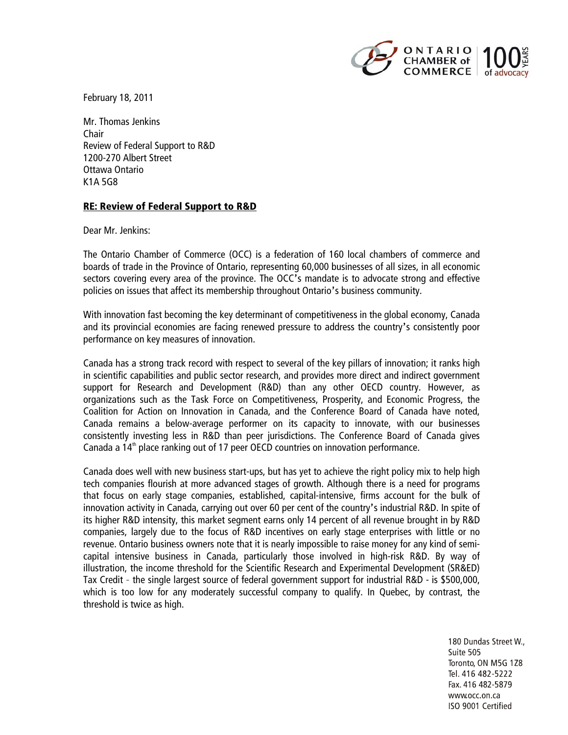

February 18, 2011

Mr. Thomas Jenkins Chair Review of Federal Support to R&D 1200-270 Albert Street Ottawa Ontario K1A 5G8

## RE: Review of Federal Support to R&D

Dear Mr. Jenkins:

The Ontario Chamber of Commerce (OCC) is a federation of 160 local chambers of commerce and boards of trade in the Province of Ontario, representing 60,000 businesses of all sizes, in all economic sectors covering every area of the province. The OCC's mandate is to advocate strong and effective policies on issues that affect its membership throughout Ontario's business community.

With innovation fast becoming the key determinant of competitiveness in the global economy, Canada and its provincial economies are facing renewed pressure to address the country's consistently poor performance on key measures of innovation.

Canada has a strong track record with respect to several of the key pillars of innovation; it ranks high in scientific capabilities and public sector research, and provides more direct and indirect government support for Research and Development (R&D) than any other OECD country. However, as organizations such as the Task Force on Competitiveness, Prosperity, and Economic Progress, the Coalition for Action on Innovation in Canada, and the Conference Board of Canada have noted, Canada remains a below-average performer on its capacity to innovate, with our businesses consistently investing less in R&D than peer jurisdictions. The Conference Board of Canada gives Canada a  $14<sup>th</sup>$  place ranking out of 17 peer OECD countries on innovation performance.

Canada does well with new business start-ups, but has yet to achieve the right policy mix to help high tech companies flourish at more advanced stages of growth. Although there is a need for programs that focus on early stage companies, established, capital-intensive, firms account for the bulk of innovation activity in Canada, carrying out over 60 per cent of the country's industrial R&D. In spite of its higher R&D intensity, this market segment earns only 14 percent of all revenue brought in by R&D companies, largely due to the focus of R&D incentives on early stage enterprises with little or no revenue. Ontario business owners note that it is nearly impossible to raise money for any kind of semicapital intensive business in Canada, particularly those involved in high-risk R&D. By way of illustration, the income threshold for the Scientific Research and Experimental Development (SR&ED) Tax Credit – the single largest source of federal government support for industrial R&D - is \$500,000, which is too low for any moderately successful company to qualify. In Quebec, by contrast, the threshold is twice as high.

> 180 Dundas Street W., Suite 505 Toronto, ON M5G 1Z8 Tel. 416 482-5222 Fax. 416 482-5879 www.occ.on.ca ISO 9001 Certified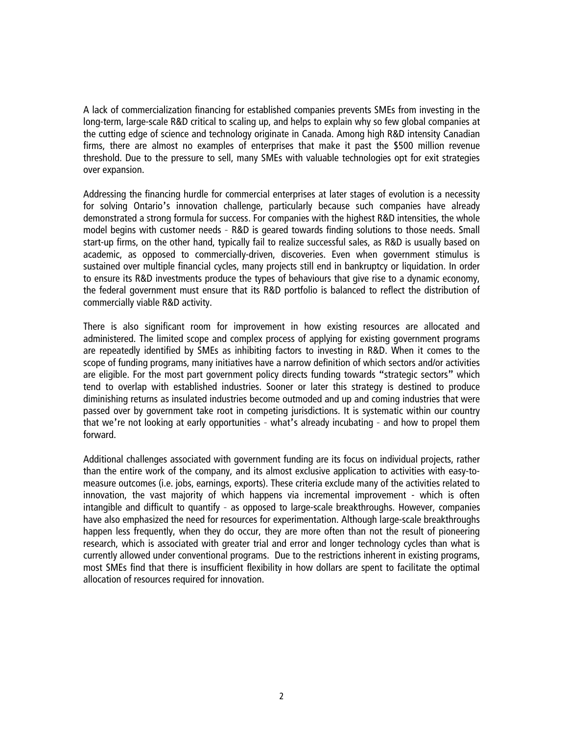A lack of commercialization financing for established companies prevents SMEs from investing in the long-term, large-scale R&D critical to scaling up, and helps to explain why so few global companies at the cutting edge of science and technology originate in Canada. Among high R&D intensity Canadian firms, there are almost no examples of enterprises that make it past the \$500 million revenue threshold. Due to the pressure to sell, many SMEs with valuable technologies opt for exit strategies over expansion.

Addressing the financing hurdle for commercial enterprises at later stages of evolution is a necessity for solving Ontario's innovation challenge, particularly because such companies have already demonstrated a strong formula for success. For companies with the highest R&D intensities, the whole model begins with customer needs – R&D is geared towards finding solutions to those needs. Small start-up firms, on the other hand, typically fail to realize successful sales, as R&D is usually based on academic, as opposed to commercially-driven, discoveries. Even when government stimulus is sustained over multiple financial cycles, many projects still end in bankruptcy or liquidation. In order to ensure its R&D investments produce the types of behaviours that give rise to a dynamic economy, the federal government must ensure that its R&D portfolio is balanced to reflect the distribution of commercially viable R&D activity.

There is also significant room for improvement in how existing resources are allocated and administered. The limited scope and complex process of applying for existing government programs are repeatedly identified by SMEs as inhibiting factors to investing in R&D. When it comes to the scope of funding programs, many initiatives have a narrow definition of which sectors and/or activities are eligible. For the most part government policy directs funding towards "strategic sectors" which tend to overlap with established industries. Sooner or later this strategy is destined to produce diminishing returns as insulated industries become outmoded and up and coming industries that were passed over by government take root in competing jurisdictions. It is systematic within our country that we're not looking at early opportunities – what's already incubating – and how to propel them forward.

Additional challenges associated with government funding are its focus on individual projects, rather than the entire work of the company, and its almost exclusive application to activities with easy-tomeasure outcomes (i.e. jobs, earnings, exports). These criteria exclude many of the activities related to innovation, the vast majority of which happens via incremental improvement - which is often intangible and difficult to quantify – as opposed to large-scale breakthroughs. However, companies have also emphasized the need for resources for experimentation. Although large-scale breakthroughs happen less frequently, when they do occur, they are more often than not the result of pioneering research, which is associated with greater trial and error and longer technology cycles than what is currently allowed under conventional programs. Due to the restrictions inherent in existing programs, most SMEs find that there is insufficient flexibility in how dollars are spent to facilitate the optimal allocation of resources required for innovation.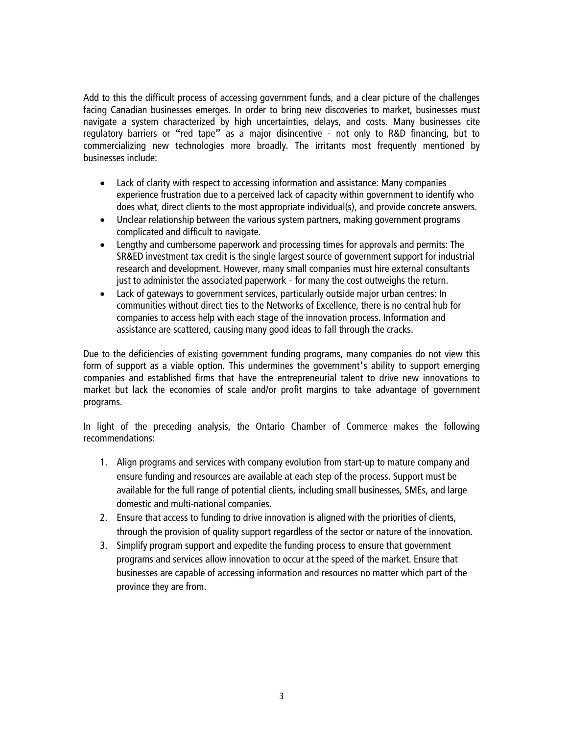Add to this the difficult process of accessing government funds, and a clear picture of the challenges facing Canadian businesses emerges. In order to bring new discoveries to market, businesses must navigate a system characterized by high uncertainties, delays, and costs. Many businesses cite regulatory barriers or "red tape" as a major disincentive – not only to R&D financing, but to commercializing new technologies more broadly. The irritants most frequently mentioned by businesses include:

- Lack of clarity with respect to accessing information and assistance: Many companies experience frustration due to a perceived lack of capacity within government to identify who does what, direct clients to the most appropriate individual(s), and provide concrete answers.
- Unclear relationship between the various system partners, making government programs complicated and difficult to navigate.
- Lengthy and cumbersome paperwork and processing times for approvals and permits: The SR&ED investment tax credit is the single largest source of government support for industrial research and development. However, many small companies must hire external consultants just to administer the associated paperwork – for many the cost outweighs the return.
- Lack of gateways to government services, particularly outside major urban centres: In communities without direct ties to the Networks of Excellence, there is no central hub for companies to access help with each stage of the innovation process. Information and assistance are scattered, causing many good ideas to fall through the cracks.

Due to the deficiencies of existing government funding programs, many companies do not view this form of support as a viable option. This undermines the government's ability to support emerging companies and established firms that have the entrepreneurial talent to drive new innovations to market but lack the economies of scale and/or profit margins to take advantage of government programs.

In light of the preceding analysis, the Ontario Chamber of Commerce makes the following recommendations:

- 1. Align programs and services with company evolution from start-up to mature company and ensure funding and resources are available at each step of the process. Support must be available for the full range of potential clients, including small businesses, SMEs, and large domestic and multi-national companies.
- 2. Ensure that access to funding to drive innovation is aligned with the priorities of clients, through the provision of quality support regardless of the sector or nature of the innovation.
- 3. Simplify program support and expedite the funding process to ensure that government programs and services allow innovation to occur at the speed of the market. Ensure that businesses are capable of accessing information and resources no matter which part of the province they are from.